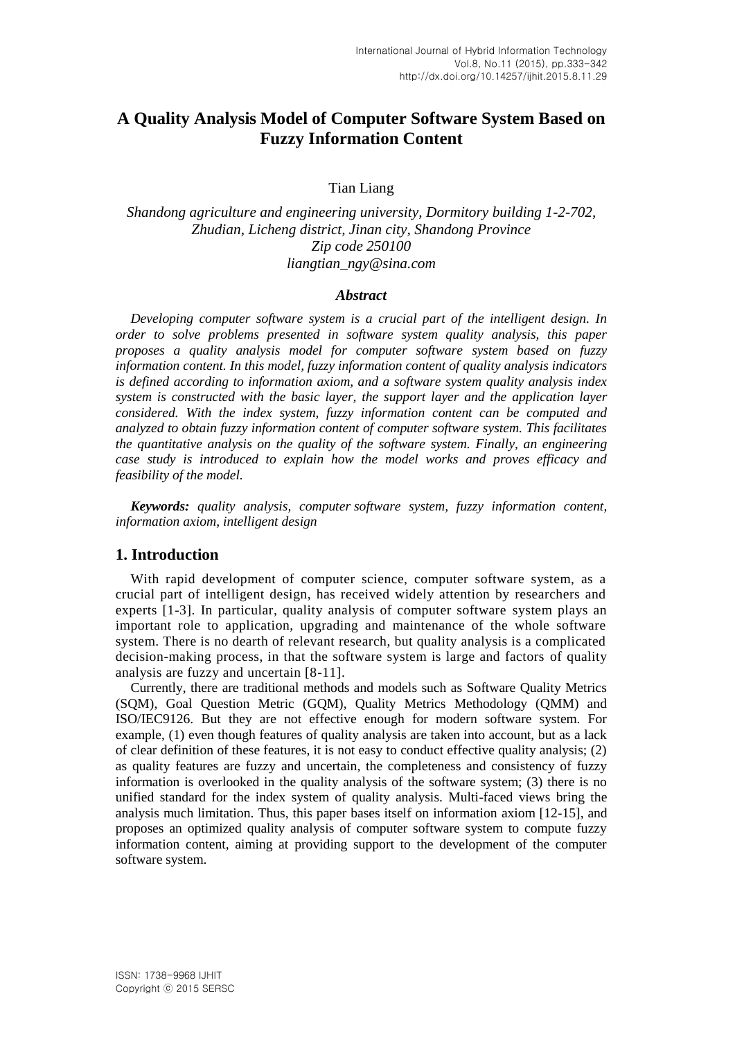# **A Quality Analysis Model of Computer Software System Based on Fuzzy Information Content**

Tian Liang

*Shandong agriculture and engineering university, Dormitory building 1-2-702, Zhudian, Licheng district, Jinan city, Shandong Province Zip code 250100 liangtian\_ngy@sina.com*

#### *Abstract*

*Developing computer software system is a crucial part of the intelligent design. In order to solve problems presented in software system quality analysis, this paper proposes a quality analysis model for computer software system based on fuzzy information content. In this model, fuzzy information content of quality analysis indicators is defined according to information axiom, and a software system quality analysis index system is constructed with the basic layer, the support layer and the application layer considered. With the index system, fuzzy information content can be computed and analyzed to obtain fuzzy information content of computer software system. This facilitates the quantitative analysis on the quality of the software system. Finally, an engineering case study is introduced to explain how the model works and proves efficacy and feasibility of the model.*

*Keywords: quality analysis, computer software system, fuzzy information content, information axiom, intelligent design*

### **1. Introduction**

With rapid development of computer science, computer software system, as a crucial part of intelligent design, has received widely attention by researchers and experts [1-3]. In particular, quality analysis of computer software system plays an important role to application, upgrading and maintenance of the whole software system. There is no dearth of relevant research, but quality analysis is a complicated decision-making process, in that the software system is large and factors of quality analysis are fuzzy and uncertain [8-11].

Currently, there are traditional methods and models such as Software Quality Metrics (SQM), Goal Question Metric (GQM), Quality Metrics Methodology (QMM) and ISO/IEC9126. But they are not effective enough for modern software system. For example, (1) even though features of quality analysis are taken into account, but as a lack of clear definition of these features, it is not easy to conduct effective quality analysis; (2) as quality features are fuzzy and uncertain, the completeness and consistency of fuzzy information is overlooked in the quality analysis of the software system; (3) there is no unified standard for the index system of quality analysis. Multi-faced views bring the analysis much limitation. Thus, this paper bases itself on information axiom [12-15], and proposes an optimized quality analysis of computer software system to compute fuzzy information content, aiming at providing support to the development of the computer software system.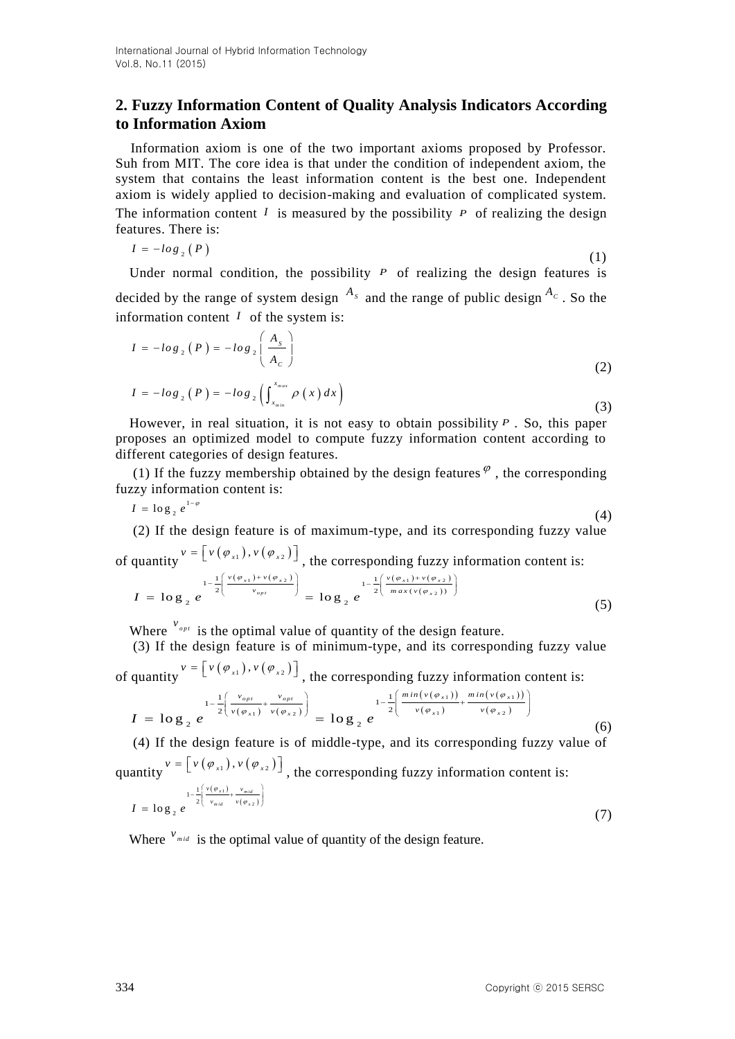## **2. Fuzzy Information Content of Quality Analysis Indicators According to Information Axiom**

Information axiom is one of the two important axioms proposed by Professor. Suh from MIT. The core idea is that under the condition of independent axiom, the system that contains the least information content is the best one. Independent axiom is widely applied to decision-making and evaluation of complicated system. The information content  $I$  is measured by the possibility  $P$  of realizing the design features. There is:

$$
I = -\log_2(P) \tag{1}
$$

Under normal condition, the possibility  $P$  of realizing the design features is decided by the range of system design  $A_s$  and the range of public design  $A_c$ . So the information content  $I$  of the system is:

$$
I = -\log_2(P) = -\log_2\left(\frac{A_s}{A_c}\right)
$$
  
\n
$$
I = -\log_2(P) = -\log_2\left(\int_{x_{min}}^{x_{max}} \rho(x) dx\right)
$$
\n(3)

 (3) However, in real situation, it is not easy to obtain possibility *P* . So, this paper proposes an optimized model to compute fuzzy information content according to different categories of design features.

(1) If the fuzzy membership obtained by the design features  $\mathscr{P}$ , the corresponding fuzzy information content is:

$$
I = \log_2 e^{1-\varphi} \tag{4}
$$

(2) If the design feature is of maximum-type, and its corresponding fuzzy value of quantity  $v = \left[ v(\varphi_{x1}), v(\varphi_{x2}) \right]$ , the corresponding fuzzy information content is:

$$
I = \log_2 e^{-\frac{1-\frac{1}{2}\left(\frac{v(\varphi_{x1})+v(\varphi_{x2})}{v_{opt}}\right)}} = \log_2 e^{-\frac{1-\frac{1}{2}\left(\frac{v(\varphi_{x1})+v(\varphi_{x2})}{max(v(\varphi_{x2}))}\right)}}{1-\frac{1}{2}\left(\frac{v(\varphi_{x1})+v(\varphi_{x2})}{max(v(\varphi_{x2}))}\right)}
$$
(5)

Where  $v_{opt}$  is the optimal value of quantity of the design feature.

(3) If the design feature is of minimum-type, and its corresponding fuzzy value

of quantity 
$$
v = [v(\varphi_{x1}), v(\varphi_{x2})]
$$
, the corresponding fuzzy information content is:  
\n
$$
I = \log_2 e^{-\frac{1}{2} \left( \frac{v_{opt}}{v(\varphi_{x1})} + \frac{v_{opt}}{v(\varphi_{x2})} \right)} = \log_2 e^{-\frac{1}{2} \left( \frac{min(v(\varphi_{x1}))}{v(\varphi_{x1})} + \frac{min(v(\varphi_{x1}))}{v(\varphi_{x2})} \right)}
$$
\n(6)

(4) If the design feature is of middle-type, and its corresponding fuzzy value of quantity  $v = \left[ v \left( \varphi_{x1} \right), v \left( \varphi_{x2} \right) \right]$ , the corresponding fuzzy information content is:  $(\varphi_{r1})$  $(\varphi_{12})$ 1  $1 - \frac{1}{2}$  $\log_{2}$  $\mathbf{v}_{mid}$   $\mathbf{v}_{mid}$ *mid*  $v(\varphi_A)$  $v(\varphi_{x1}) - v$  $I = \log_2 e^{-\frac{1}{2} \left( \frac{v_{mid}}{v_{mid}} + v_{mid} \right)}$ φ φ =  $\log_{2} e^{-\frac{1}{2} \left( \frac{v(\varphi_{x_1})}{v_{mid}} + \frac{v_{mid}}{v(\varphi_{x_2})} \right)}$ (7)

Where  $v_{mid}$  is the optimal value of quantity of the design feature.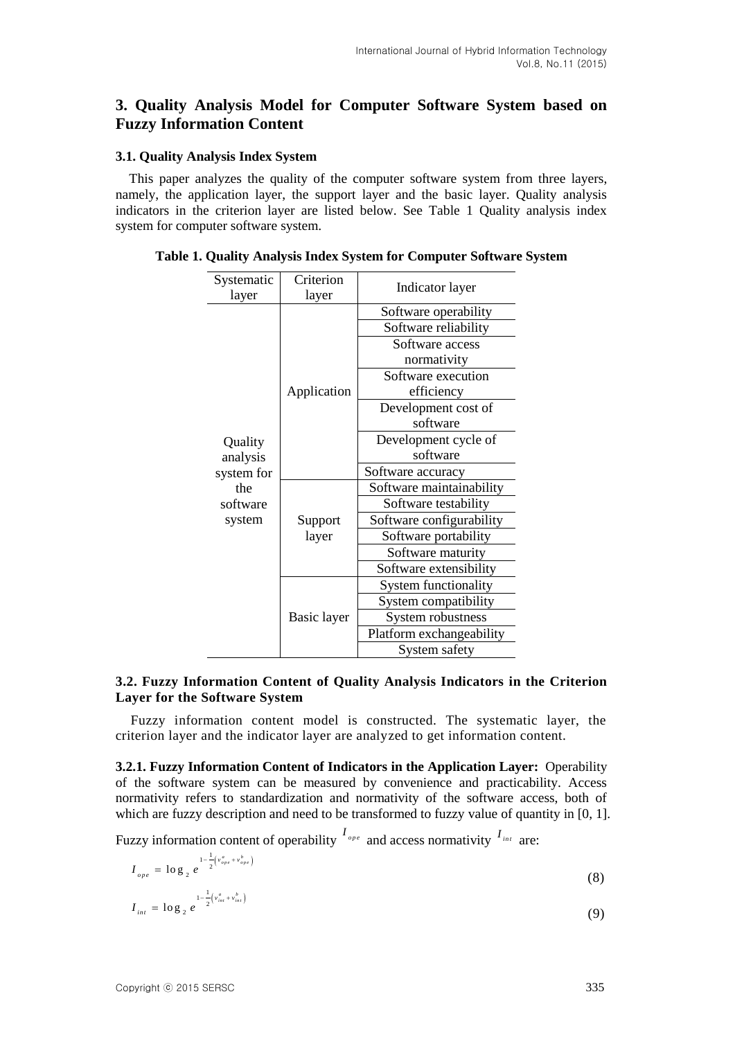## **3. Quality Analysis Model for Computer Software System based on Fuzzy Information Content**

#### **3.1. Quality Analysis Index System**

This paper analyzes the quality of the computer software system from three layers, namely, the application layer, the support layer and the basic layer. Quality analysis indicators in the criterion layer are listed below. See Table 1 Quality analysis index system for computer software system.

| Systematic<br>layer       | Criterion<br>layer | Indicator layer          |  |  |
|---------------------------|--------------------|--------------------------|--|--|
|                           |                    | Software operability     |  |  |
|                           | Application        | Software reliability     |  |  |
|                           |                    | Software access          |  |  |
|                           |                    | normativity              |  |  |
|                           |                    | Software execution       |  |  |
|                           |                    | efficiency               |  |  |
|                           |                    | Development cost of      |  |  |
| Quality<br>analysis       |                    | software                 |  |  |
|                           |                    | Development cycle of     |  |  |
|                           |                    | software                 |  |  |
| system for                |                    | Software accuracy        |  |  |
| the<br>software<br>system | Support<br>layer   | Software maintainability |  |  |
|                           |                    | Software testability     |  |  |
|                           |                    | Software configurability |  |  |
|                           |                    | Software portability     |  |  |
|                           |                    | Software maturity        |  |  |
|                           |                    | Software extensibility   |  |  |
|                           | Basic layer        | System functionality     |  |  |
|                           |                    | System compatibility     |  |  |
|                           |                    | System robustness        |  |  |
|                           |                    | Platform exchangeability |  |  |
|                           |                    | System safety            |  |  |

**Table 1. Quality Analysis Index System for Computer Software System**

### **3.2. Fuzzy Information Content of Quality Analysis Indicators in the Criterion Layer for the Software System**

Fuzzy information content model is constructed. The systematic layer, the criterion layer and the indicator layer are analyzed to get information content.

**3.2.1. Fuzzy Information Content of Indicators in the Application Layer:** Operability of the software system can be measured by convenience and practicability. Access normativity refers to standardization and normativity of the software access, both of which are fuzzy description and need to be transformed to fuzzy value of quantity in [0, 1].

Fuzzy information content of operability  $I_{op}$  and access normativity  $I_{int}$  are:

$$
I_{_{ope}} = \log_2 e^{-\frac{1 - \frac{1}{2} \left( v_{_{ope}}^a + v_{_{ope}}^b \right)}} \tag{8}
$$

$$
I_{int} = \log_2 e^{\frac{1 - \frac{1}{2} \left( v_{int}^a + v_{int}^b \right)}{2}}
$$
 (9)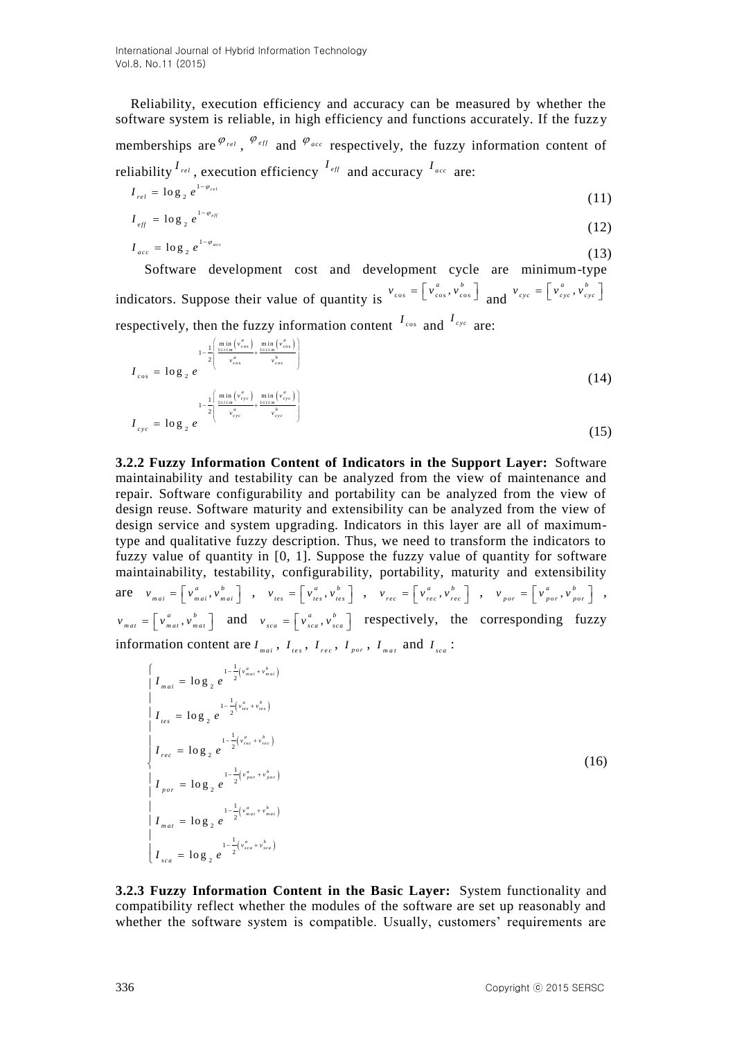Reliability, execution efficiency and accuracy can be measured by whether the software system is reliable, in high efficiency and functions accurately. If the fuzzy memberships are  $^{\varphi_{rel}}$ ,  $^{\varphi_{eff}}$  and  $^{\varphi_{acc}}$  respectively, the fuzzy information content of reliability  $I_{rel}$ , execution efficiency  $I_{eff}$  and accuracy  $I_{acc}$  are: 1

$$
I_{rel} = \log_2 e^{1 - \varphi_{rel}} \tag{11}
$$

$$
I_{\text{eff}} = \log_2 e^{1 - \varphi_{\text{eff}}} \tag{12}
$$

$$
I_{acc} = \log_2 e^{1 - \varphi_{acc}} \tag{13}
$$

 Software development cost and development cycle are minimum-type indicators. Suppose their value of quantity is  $v_{\text{cos}} = \begin{bmatrix} v_{\text{cos}}^a, v_{\text{cos}}^b \end{bmatrix}$  and  $v_{\text{cyc}} = \begin{bmatrix} v_{\text{cyc}}^a, v_{\text{c}}^b \end{bmatrix}$  $v_{cyc} = \left[ v_{cyc}^a, v_{cyc}^b \right]$ *I I*

respectively, then the fuzzy information content 
$$
I_{\text{cos}}
$$
 and  $I_{\text{cyc}}$  are:

$$
I_{\cos} = \log_2 e
$$
  
\n
$$
I_{\cos} = \log_2 e
$$
  
\n
$$
I_{\cos} = \log_2 e
$$
  
\n
$$
I_{\cos} = \log_2 e
$$
  
\n
$$
I_{\cos} = \log_2 e
$$
  
\n
$$
I_{\cos} = \log_2 e
$$
  
\n
$$
I_{\cos} = \log_2 e
$$
  
\n
$$
I_{\cos} = \log_2 e
$$
  
\n
$$
I_{\cos} = \log_2 e
$$
  
\n
$$
I_{\cos} = \log_2 e
$$
  
\n(15)

**3.2.2 Fuzzy Information Content of Indicators in the Support Layer:** Software maintainability and testability can be analyzed from the view of maintenance and repair. Software configurability and portability can be analyzed from the view of design reuse. Software maturity and extensibility can be analyzed from the view of design service and system upgrading. Indicators in this layer are all of maximumtype and qualitative fuzzy description. Thus, we need to transform the indicators to fuzzy value of quantity in [0, 1]. Suppose the fuzzy value of quantity for software maintainability, testability, configurability, portability, maturity and extensibility are  $v_{\text{mai}} = \begin{bmatrix} v_{\text{mai}}^a, v_{\text{mai}}^b \end{bmatrix}$ ,  $v_{\text{tes}} = \begin{bmatrix} v_{\text{tes}}^a, v_{\text{tot}}^b \end{bmatrix}$  $v_{tes} = \begin{bmatrix} v_{tes}^a, v_{tes}^b \end{bmatrix}$ ,  $v_{rec} = \begin{bmatrix} v_{rec}^a, v_r^b \end{bmatrix}$  $v_{rec} = \begin{bmatrix} v_{rec}^a, v_{rec}^b \end{bmatrix}$ ,  $v_{por} = \begin{bmatrix} v_{por}^a, v_{po}^b \end{bmatrix}$  $v_{\text{por}} = \left[ v_{\text{por}}^a, v_{\text{por}}^b \right] ,$  $\frac{a}{\sqrt{p}}$ ,  $v_p^b$  $v_{mat} = \begin{bmatrix} v_{mat}^a, v_{mat}^b \end{bmatrix}$  and  $v_{sca} = \begin{bmatrix} v_{sca}^a, v_s^b \end{bmatrix}$  $v_{sca} = \begin{bmatrix} v_{sca}^a, v_{sca}^b \end{bmatrix}$  respectively, the corresponding fuzzy information content are  $I_{max}$ ,  $I_{res}$ ,  $I_{rec}$ ,  $I_{por}$ ,  $I_{max}$  and  $I_{sec}$ :

$$
\begin{cases}\nI_{mai} = \log_2 e^{-\frac{1}{2} \left( v_{mai}^a + v_{mai}^b \right)} \\
I_{tes} = \log_2 e^{-\frac{1}{2} \left( v_{res}^a + v_{res}^b \right)} \\
I_{rec} = \log_2 e^{-\frac{1}{2} \left( v_{rec}^a + v_{res}^b \right)} \\
I_{por} = \log_2 e^{-\frac{1}{2} \left( v_{por}^a + v_{por}^b \right)} \\
I_{par} = \log_2 e^{-\frac{1}{2} \left( v_{par}^a + v_{par}^b \right)} \\
I_{mar} = \log_2 e^{-\frac{1}{2} \left( v_{mar}^a + v_{mar}^b \right)} \\
I_{sea} = \log_2 e^{-\frac{1}{2} \left( v_{sea}^a + v_{sea}^b \right)} \\
I_{sea} = \log_2 e^{-\frac{1}{2} \left( v_{sea}^a + v_{sea}^b \right)}\n\end{cases}
$$
\n(16)

**3.2.3 Fuzzy Information Content in the Basic Layer:** System functionality and compatibility reflect whether the modules of the software are set up reasonably and whether the software system is compatible. Usually, customers' requirements are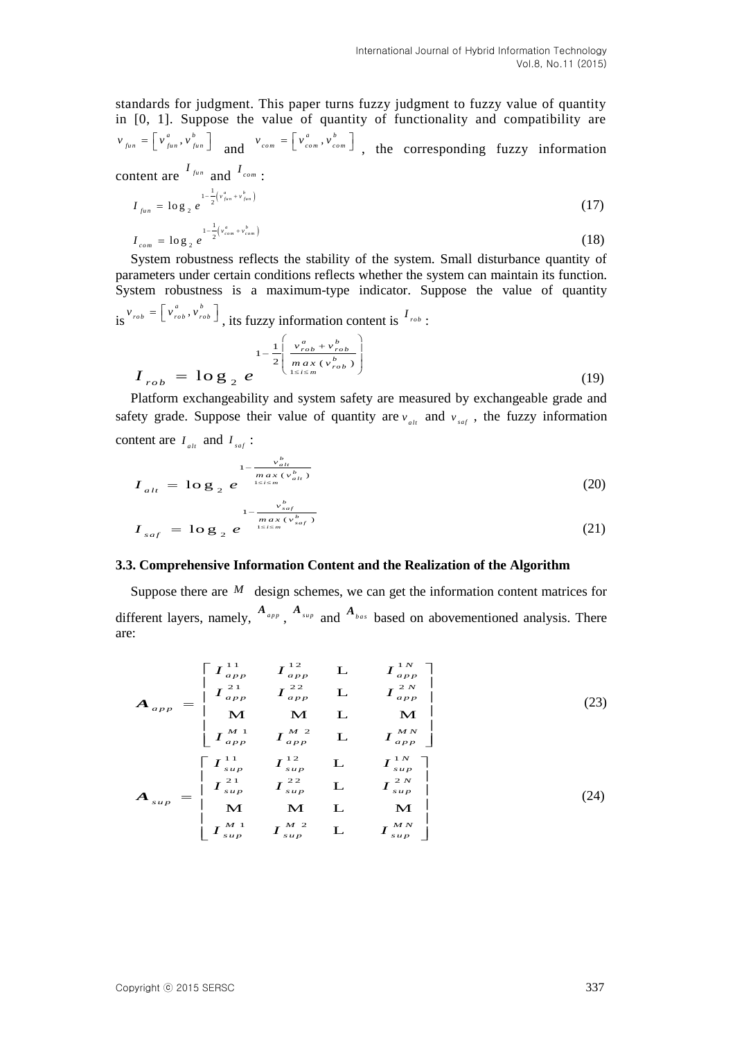standards for judgment. This paper turns fuzzy judgment to fuzzy value of quantity in [0, 1]. Suppose the value of quantity of functionality and compatibility are  $v_{\text{fun}} = \begin{bmatrix} v_{\text{fun}}^a, v_{\text{fun}}^b \end{bmatrix}$  and  $v_{\text{com}} = \begin{bmatrix} v_{\text{com}}^a, v_{\text{com}}^b \end{bmatrix}$  $v_{com} = \begin{bmatrix} v_{com}^a, v_{com}^b \end{bmatrix}$ , the corresponding fuzzy information content are  $I_{\text{fun}}$  and  $I_{\text{com}}$ :

$$
I_{\text{fun}} = \log_2 e^{-\frac{1 - \frac{1}{2} \left( v_{\text{fun}}^a + v_{\text{fun}}^b \right)}} \tag{17}
$$

$$
I_{com} = \log_2 e^{\frac{1-\frac{1}{2}\left(v_{com}^a + v_{com}^b\right)}{2}} \tag{18}
$$

System robustness reflects the stability of the system. Small disturbance quantity of parameters under certain conditions reflects whether the system can maintain its function. System robustness is a maximum-type indicator. Suppose the value of quantity  $\mathbf{a} \times \mathbf{b} = \begin{bmatrix} v_{rob}^a, v_{rob}^b \end{bmatrix}$ , its fuzzy information content is  $I_{rob}$ :

$$
I_{rob} = \log_2 e^{-\frac{1}{2} \left( \frac{v_{rob}^a + v_{rob}^b}{max(v_{rob}^b)} \right)}
$$
(19)

Platform exchangeability and system safety are measured by exchangeable grade and safety grade. Suppose their value of quantity are  $v_{a}$  and  $v_{saf}$ , the fuzzy information content are  $I_{alt}$  and  $I_{safe}$ :

$$
I_{alt} = \log_2 e^{-\frac{v_{alt}^b}{\max(v_{alt}^b) \over \max(v_{alt}^b)}}
$$
(20)  

$$
I_{saf} = \log_2 e^{-\frac{v_{saf}^b}{\max(v_{saf}^b) \over \max(v_{saf}^b)}}
$$
(21)

#### **3.3. Comprehensive Information Content and the Realization of the Algorithm**

Suppose there are  $M$  design schemes, we can get the information content matrices for different layers, namely,  $A_{app}$ ,  $A_{sup}$  and  $A_{bas}$  based on abovementioned analysis. There are:

$$
A_{app} = \begin{bmatrix} I_{app}^{11} & I_{app}^{12} & L & I_{app}^{1N} \\ I_{app}^{21} & I_{app}^{22} & L & I_{app}^{2N} \\ M & M & L & M \\ I_{app}^{M1} & I_{app}^{M2} & L & I_{app}^{MN} \end{bmatrix}
$$
(23)  

$$
I_{app}^{M1} & I_{app}^{M2} & L & I_{app}^{MN} \\ I_{app}^{11} & I_{app}^{12} & L & I_{app}^{1N} \\ I_{sup}^{11} & I_{sup}^{12} & L & I_{sup}^{1N} \\ I_{sup}^{21} & I_{sup}^{22} & L & I_{sup}^{2N} \end{bmatrix}
$$
(24)

$$
= \begin{bmatrix} I_{sup}^{21} & I_{sup}^{22} & L & I_{sup}^{2N} \\ M & M & L & M \\ I_{sup}^{M1} & I_{sup}^{M2} & L & I_{sup}^{MN} \end{bmatrix}
$$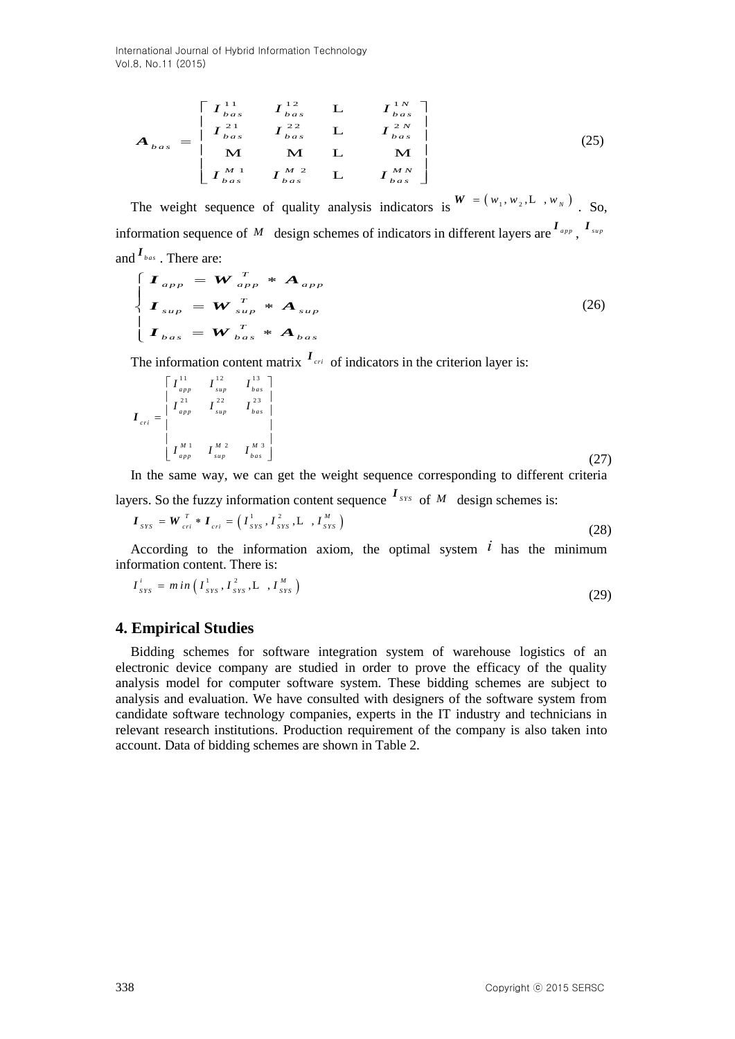International Journal of Hybrid Information Technology Vol.8, No.11 (2015)

$$
A_{\text{bas}} = \begin{bmatrix} I_{\text{bas}}^{11} & I_{\text{bas}}^{12} & L & I_{\text{bas}}^{1N} \\ I_{\text{bas}}^{21} & I_{\text{bas}}^{22} & L & I_{\text{bas}}^{2N} \\ M & M & L & M \\ I_{\text{bas}}^{M1} & I_{\text{bas}}^{M2} & L & I_{\text{bas}}^{MN} \end{bmatrix} \tag{25}
$$

The weight sequence of quality analysis indicators is  $W = (w_1, w_2, L, w_1, w_2)$ . So, information sequence of M design schemes of indicators in different layers are  $I_{app}$ ,  $I_{sup}$ and  $I_{\scriptscriptstyle{bas}}$  . There are:

$$
\begin{cases}\n\boldsymbol{I}_{app} = \boldsymbol{W}_{app}^T * \boldsymbol{A}_{app} \\
\boldsymbol{I}_{sup} = \boldsymbol{W}_{sup}^T * \boldsymbol{A}_{sup} \\
\boldsymbol{I}_{bas} = \boldsymbol{W}_{bas}^T * \boldsymbol{A}_{bas}\n\end{cases}
$$
\n(26)

The information content matrix  $I_{\text{cri}}$  of indicators in the criterion layer is:

$$
\boldsymbol{I}_{cri} = \begin{bmatrix} I_{app}^{11} & I_{sup}^{12} & I_{bas}^{13} \\ I_{app}^{21} & I_{sup}^{22} & I_{bas}^{23} \\ I_{app} & I_{sup}^{M1} & I_{bas}^{M2} \end{bmatrix} \tag{27}
$$

In the same way, we can get the weight sequence corresponding to different criteria

layers. So the fuzzy information content sequence 
$$
I_{sys}
$$
 of  $M$  design schemes is:\n
$$
I_{sys} = W_{cri}^T * I_{cri} = \left(I_{srs}^1, I_{srs}^2, L_{srs}^M\right)
$$
\n(28)

According to the information axiom, the optimal system  $\ell$  has the minimum information content. There is:

$$
I_{\text{sys}}^i = \min\left(I_{\text{sys}}^1, I_{\text{sys}}^2, L_{\text{sys}}^M\right) \tag{29}
$$

### **4. Empirical Studies**

Bidding schemes for software integration system of warehouse logistics of an electronic device company are studied in order to prove the efficacy of the quality analysis model for computer software system. These bidding schemes are subject to analysis and evaluation. We have consulted with designers of the software system from candidate software technology companies, experts in the IT industry and technicians in relevant research institutions. Production requirement of the company is also taken into account. Data of bidding schemes are shown in Table 2.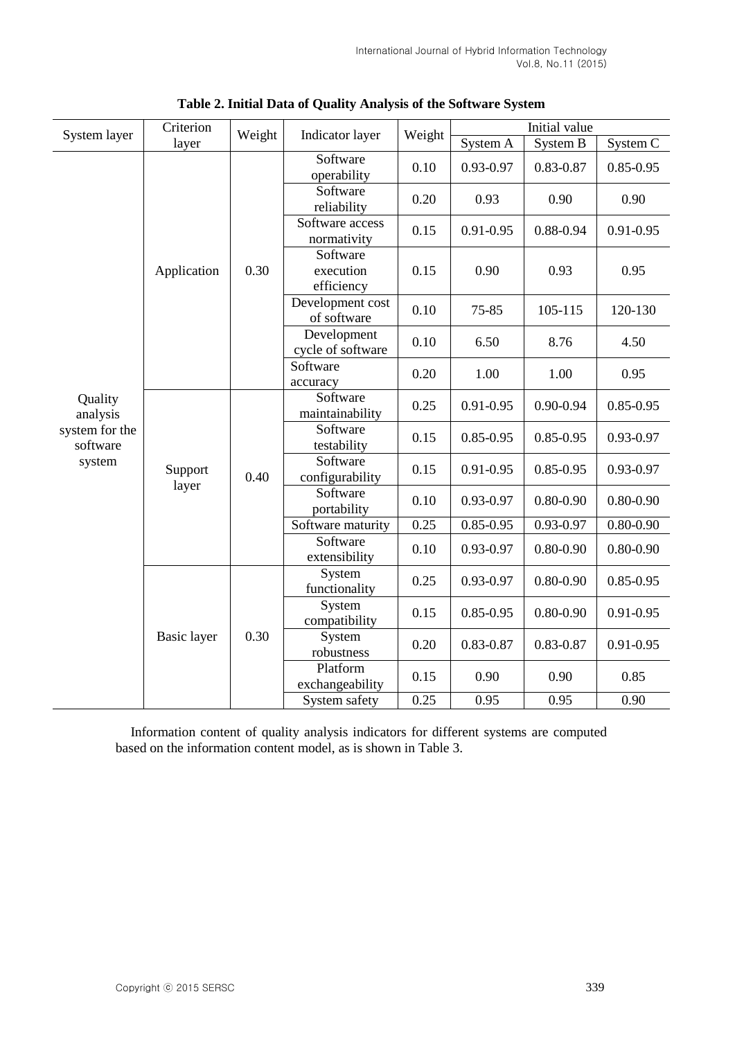| System layer                                                | Criterion        | Weight |                                     | Weight | Initial value |               |               |
|-------------------------------------------------------------|------------------|--------|-------------------------------------|--------|---------------|---------------|---------------|
|                                                             | layer            |        | Indicator layer                     |        | System A      | System B      | System C      |
| Quality<br>analysis<br>system for the<br>software<br>system | Application      | 0.30   | Software<br>operability             | 0.10   | 0.93-0.97     | 0.83-0.87     | $0.85 - 0.95$ |
|                                                             |                  |        | Software<br>reliability             | 0.20   | 0.93          | 0.90          | 0.90          |
|                                                             |                  |        | Software access<br>normativity      | 0.15   | $0.91 - 0.95$ | 0.88-0.94     | $0.91 - 0.95$ |
|                                                             |                  |        | Software<br>execution<br>efficiency | 0.15   | 0.90          | 0.93          | 0.95          |
|                                                             |                  |        | Development cost<br>of software     | 0.10   | 75-85         | 105-115       | 120-130       |
|                                                             |                  |        | Development<br>cycle of software    | 0.10   | 6.50          | 8.76          | 4.50          |
|                                                             |                  |        | Software<br>accuracy                | 0.20   | 1.00          | 1.00          | 0.95          |
|                                                             | Support<br>layer | 0.40   | Software<br>maintainability         | 0.25   | $0.91 - 0.95$ | $0.90 - 0.94$ | $0.85 - 0.95$ |
|                                                             |                  |        | Software<br>testability             | 0.15   | $0.85 - 0.95$ | $0.85 - 0.95$ | 0.93-0.97     |
|                                                             |                  |        | Software<br>configurability         | 0.15   | $0.91 - 0.95$ | $0.85 - 0.95$ | 0.93-0.97     |
|                                                             |                  |        | Software<br>portability             | 0.10   | 0.93-0.97     | $0.80 - 0.90$ | $0.80 - 0.90$ |
|                                                             |                  |        | Software maturity                   | 0.25   | $0.85 - 0.95$ | 0.93-0.97     | $0.80 - 0.90$ |
|                                                             |                  |        | Software<br>extensibility           | 0.10   | 0.93-0.97     | $0.80 - 0.90$ | $0.80 - 0.90$ |
|                                                             | Basic layer      | 0.30   | System<br>functionality             | 0.25   | 0.93-0.97     | $0.80 - 0.90$ | $0.85 - 0.95$ |
|                                                             |                  |        | System<br>compatibility             | 0.15   | $0.85 - 0.95$ | $0.80 - 0.90$ | $0.91 - 0.95$ |
|                                                             |                  |        | System<br>robustness                | 0.20   | 0.83-0.87     | 0.83-0.87     | $0.91 - 0.95$ |
|                                                             |                  |        | Platform<br>exchangeability         | 0.15   | 0.90          | 0.90          | 0.85          |
|                                                             |                  |        | System safety                       | 0.25   | 0.95          | 0.95          | 0.90          |

**Table 2. Initial Data of Quality Analysis of the Software System**

Information content of quality analysis indicators for different systems are computed based on the information content model, as is shown in Table 3.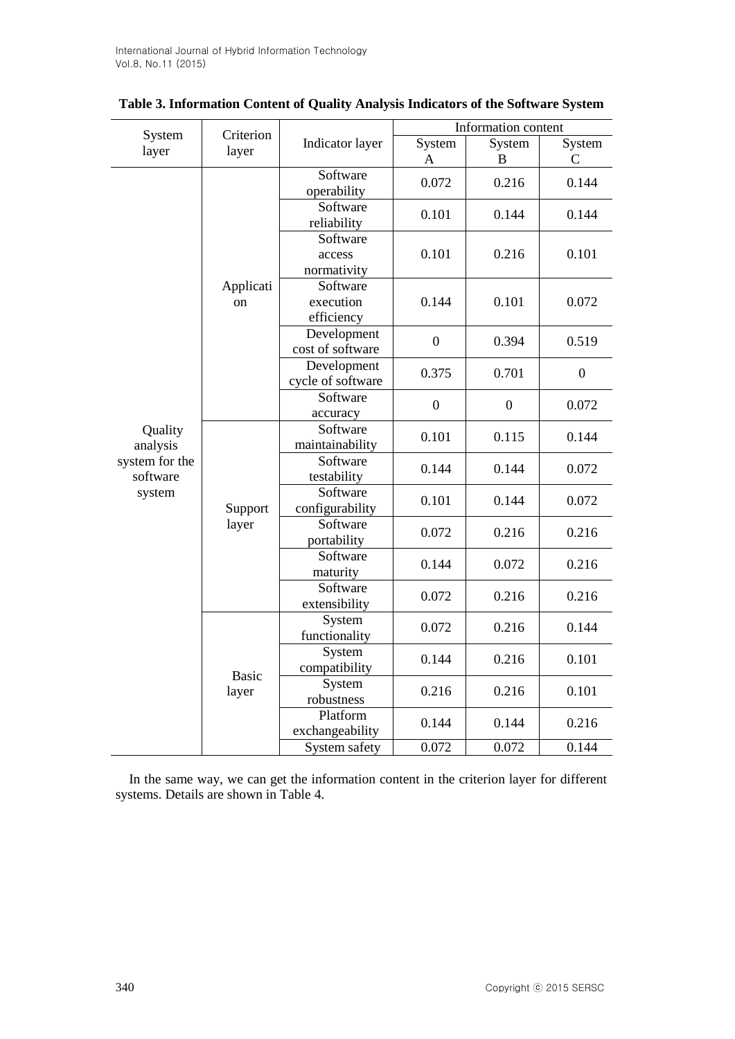|                                      | Criterion             |                                     | Information content |                  |                        |  |
|--------------------------------------|-----------------------|-------------------------------------|---------------------|------------------|------------------------|--|
| System<br>layer                      | layer                 | Indicator layer                     | System<br>A         | System<br>B      | System<br>$\mathsf{C}$ |  |
|                                      | Applicati<br>on       | Software<br>operability             | 0.072               | 0.216            | 0.144                  |  |
|                                      |                       | Software<br>reliability             | 0.101               | 0.144            | 0.144                  |  |
|                                      |                       | Software<br>access<br>normativity   | 0.101               | 0.216            | 0.101                  |  |
|                                      |                       | Software<br>execution<br>efficiency | 0.144               | 0.101            | 0.072                  |  |
|                                      |                       | Development<br>cost of software     | $\boldsymbol{0}$    | 0.394            | 0.519                  |  |
|                                      |                       | Development<br>cycle of software    | 0.375               | 0.701            | $\boldsymbol{0}$       |  |
|                                      |                       | Software<br>accuracy                | $\boldsymbol{0}$    | $\boldsymbol{0}$ | 0.072                  |  |
| Quality<br>analysis                  | Support<br>layer      | Software<br>maintainability         | 0.101               | 0.115            | 0.144                  |  |
| system for the<br>software<br>system |                       | Software<br>testability             | 0.144               | 0.144            | 0.072                  |  |
|                                      |                       | Software<br>configurability         | 0.101               | 0.144            | 0.072                  |  |
|                                      |                       | Software<br>portability             | 0.072               | 0.216            | 0.216                  |  |
|                                      |                       | Software<br>maturity                | 0.144               | 0.072            | 0.216                  |  |
|                                      |                       | Software<br>extensibility           | 0.072               | 0.216            | 0.216                  |  |
|                                      | <b>Basic</b><br>layer | System<br>functionality             | 0.072               | 0.216            | 0.144                  |  |
|                                      |                       | System<br>compatibility             | 0.144               | 0.216            | 0.101                  |  |
|                                      |                       | System<br>robustness                | 0.216               | 0.216            | 0.101                  |  |
|                                      |                       | Platform<br>exchangeability         | 0.144               | 0.144            | 0.216                  |  |
|                                      |                       | System safety                       | 0.072               | 0.072            | 0.144                  |  |

| Table 3. Information Content of Quality Analysis Indicators of the Software System |  |  |
|------------------------------------------------------------------------------------|--|--|
|------------------------------------------------------------------------------------|--|--|

In the same way, we can get the information content in the criterion layer for different systems. Details are shown in Table 4.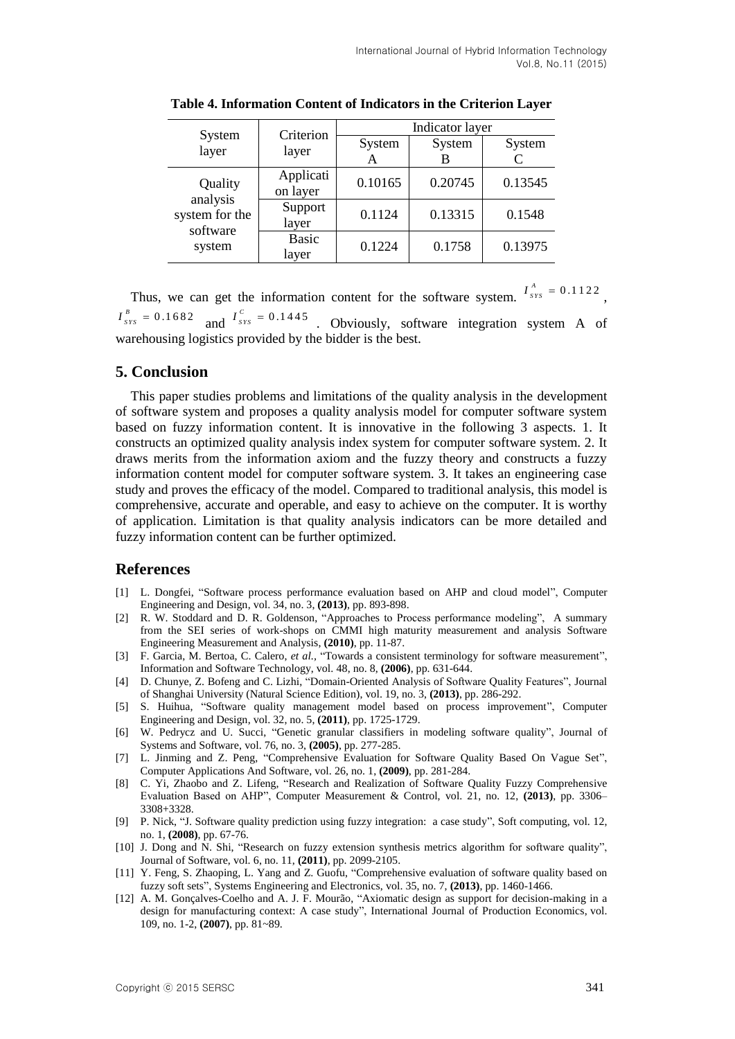| System<br>layer                                             | Criterion<br>layer    | Indicator layer |         |         |  |
|-------------------------------------------------------------|-----------------------|-----------------|---------|---------|--|
|                                                             |                       | System          | System  | System  |  |
|                                                             |                       | A               |         |         |  |
| Quality<br>analysis<br>system for the<br>software<br>system | Applicati<br>on layer | 0.10165         | 0.20745 | 0.13545 |  |
|                                                             | Support<br>layer      | 0.1124          | 0.13315 | 0.1548  |  |
|                                                             | <b>Basic</b><br>layer | 0.1224          | 0.1758  | 0.13975 |  |

**Table 4. Information Content of Indicators in the Criterion Layer**

Thus, we can get the information content for the software system.  $I_{sys}^{A} = 0.1122$ ,  $I_{srs}^B = 0.1682$  and  $I_{srs}^C = 0.1445$  Obviously, software integration system A of warehousing logistics provided by the bidder is the best.

### **5. Conclusion**

This paper studies problems and limitations of the quality analysis in the development of software system and proposes a quality analysis model for computer software system based on fuzzy information content. It is innovative in the following 3 aspects. 1. It constructs an optimized quality analysis index system for computer software system. 2. It draws merits from the information axiom and the fuzzy theory and constructs a fuzzy information content model for computer software system. 3. It takes an engineering case study and proves the efficacy of the model. Compared to traditional analysis, this model is comprehensive, accurate and operable, and easy to achieve on the computer. It is worthy of application. Limitation is that quality analysis indicators can be more detailed and fuzzy information content can be further optimized.

### **References**

- [1] L. Dongfei, "Software process performance evaluation based on AHP and cloud model", Computer Engineering and Design, vol. 34, no. 3, **(2013)**, pp. 893-898.
- [2] R. W. Stoddard and D. R. Goldenson, "Approaches to Process performance modeling", A summary from the SEI series of work-shops on CMMI high maturity measurement and analysis Software Engineering Measurement and Analysis, **(2010)**, pp. 11-87.
- [3] F. Garcia, M. Bertoa, C. Calero, *et al.,* "Towards a consistent terminology for software measurement", Information and Software Technology, vol. 48, no. 8, **(2006)**, pp. 631-644.
- [4] D. Chunye, Z. Bofeng and C. Lizhi, "Domain-Oriented Analysis of Software Quality Features", Journal of Shanghai University (Natural Science Edition), vol. 19, no. 3, **(2013)**, pp. 286-292.
- [5] S. Huihua, "Software quality management model based on process improvement", Computer Engineering and Design, vol. 32, no. 5, **(2011)**, pp. 1725-1729.
- [6] W. Pedrycz and U. Succi, "Genetic granular classifiers in modeling software quality", Journal of Systems and Software, vol. 76, no. 3, **(2005)**, pp. 277-285.
- [7] L. Jinming and Z. Peng, "Comprehensive Evaluation for Software Quality Based On Vague Set", Computer Applications And Software, vol. 26, no. 1, **(2009)**, pp. 281-284.
- [8] C. Yi, Zhaobo and Z. Lifeng, "Research and Realization of Software Quality Fuzzy Comprehensive Evaluation Based on AHP", Computer Measurement & Control, vol. 21, no. 12, **(2013)**, pp. 3306– 3308+3328.
- [9] P. Nick, "J. Software quality prediction using fuzzy integration: a case study", Soft computing, vol. 12, no. 1, **(2008)**, pp. 67-76.
- [10] J. Dong and N. Shi, "Research on fuzzy extension synthesis metrics algorithm for software quality", Journal of Software, vol. 6, no. 11, **(2011)**, pp. 2099-2105.
- [11] Y. Feng, S. Zhaoping, L. Yang and Z. Guofu, "Comprehensive evaluation of software quality based on fuzzy soft sets", Systems Engineering and Electronics, vol. 35, no. 7, **(2013)**, pp. 1460-1466.
- [12] A. M. Gonçalves-Coelho and A. J. F. Mourão, "Axiomatic design as support for decision-making in a design for manufacturing context: A case study", International Journal of Production Economics, vol. 109, no. 1-2, **(2007)**, pp. 81~89.